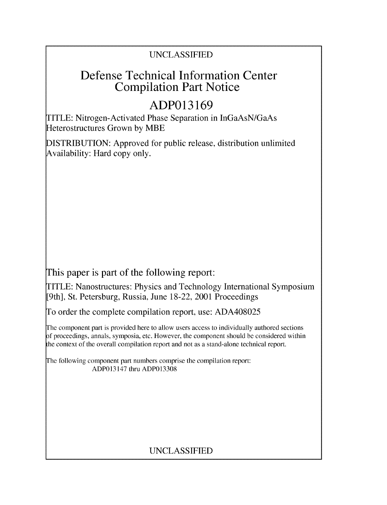### UNCLASSIFIED

## Defense Technical Information Center Compilation Part Notice

# **ADP013169**

TITLE: Nitrogen-Activated Phase Separation in InGaAsN/GaAs Heterostructures Grown by MBE

DISTRIBUTION: Approved for public release, distribution unlimited Availability: Hard copy only.

This paper is part of the following report:

TITLE: Nanostructures: Physics and Technology International Symposium [9th], St. Petersburg, Russia, June 18-22, 2001 Proceedings

To order the complete compilation report, use: ADA408025

The component part is provided here to allow users access to individually authored sections f proceedings, annals, symposia, etc. However, the component should be considered within the context of the overall compilation report and not as a stand-alone technical report.

The following component part numbers comprise the compilation report: ADP013147 thru ADP013308

## UNCLASSIFIED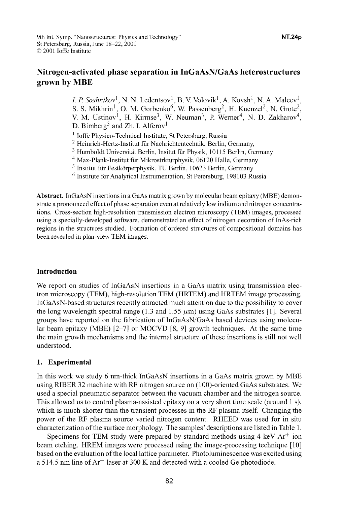### Nitrogen-activated phase separation in InGaAsN/GaAs heterostructures grown **by** MBE

*I. P. Soshnikov*<sup>1</sup>, N. N. Ledentsov<sup>1</sup>, B. V. Volovik<sup>1</sup>, A. Kovsh<sup>1</sup>, N. A. Maleev<sup>1</sup>, S. S. Mikhrin<sup>1</sup>, O. M. Gorbenko<sup>6</sup>, W. Passenberg<sup>2</sup>, H. Kuenzel<sup>2</sup>, N. Grote<sup>2</sup>, V. M. Ustinov<sup>1</sup>, H. Kirmse<sup>3</sup>, W. Neuman<sup>3</sup>, P. Werner<sup>4</sup>, N. D. Zakharov<sup>4</sup>, D. Bimberg<sup>5</sup> and Zh. I. Alferov<sup>1</sup>

- <sup>1</sup> Ioffe Physico-Technical Institute, St Petersburg, Russia
- 2 Heinrich-Hertz-Institut ffir Nachrichtentechnik, Berlin, Germany,
- <sup>3</sup> Humboldt Universität Berlin, Insitut für Physik, 10115 Berlin, Germany
- 4 Max-Plank-Institut ffir Mikrostrkturphysik, 06120 Halle, Germany
- <sup>5</sup> Institut für Festkörperphysik, TU Berlin, 10623 Berlin, Germany
- 6 Institute for Analytical Instrumentation, St Petersburg, 198103 Russia

Abstract. InGaAsN insertions in a GaAs matrix grown by molecular beam epitaxy (MBE) demonstrate a pronounced effect of phase separation even at relatively low indium and nitrogen concentrations. Cross-section high-resolution transmission electron microscopy (TEM) images, processed using a specially-developed software, demonstrated an effect of nitrogen decoration of InAs-rich regions in the structures studied. Formation of ordered structures of compositional domains has been revealed in plan-view TEM images.

#### Introduction

We report on studies of InGaAsN insertions in a GaAs matrix using transmission electron microscopy (TEM), high-resolution TEM (HRTEM) and HRTEM image processing. InGaAsN-based structures recently attracted much attention due to the possibility to cover the long wavelength spectral range (1.3 and 1.55  $\mu$ m) using GaAs substrates [1]. Several groups have reported on the fabrication of InGaAsN/GaAs based devices using molecular beam epitaxy (MBE) **[2-7]** or MOCVD [8, **9]** growth techniques. At the same time the main growth mechanisms and the internal structure of these insertions is still not well understood.

#### 1. Experimental

In this work we study 6 nm-thick InGaAsN insertions in a GaAs matrix grown by MBE using RIBER 32 machine with RF nitrogen source on (100)-oriented GaAs substrates. We used a special pneumatic separator between the vacuum chamber and the nitrogen source. This allowed us to control plasma-assisted epitaxy on a very short time scale (around 1 s), which is much shorter than the transient processes in the RF plasma itself. Changing the power of the RF plasma source varied nitrogen content. RHEED was used for in situ characterization of the surface morphology. The samples' descriptions are listed in Table 1.

Specimens for TEM study were prepared by standard methods using 4 keV  $Ar^+$  ion beam etching. HREM images were processed using the image-processing technique [10] based on the evaluation of the local lattice parameter. Photoluminescence was excited using a 514.5 nm line of  $Ar^+$  laser at 300 K and detected with a cooled Ge photodiode.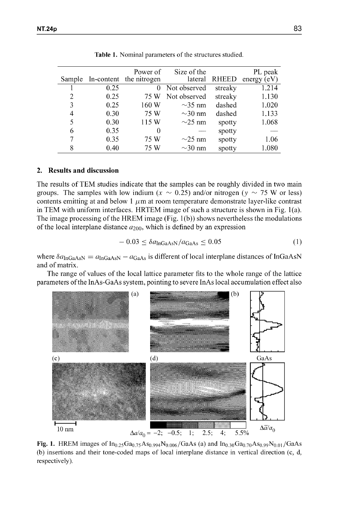|        |      | Power of                | Size of the  |              | PL peak       |
|--------|------|-------------------------|--------------|--------------|---------------|
| Sample |      | In-content the nitrogen | lateral      | <b>RHEED</b> | energy $(eV)$ |
|        | 0.25 | 0                       | Not observed | streaky      | 1.214         |
| 2      | 0.25 | 75 W                    | Not observed | streaky      | 1.130         |
| 3      | 0.25 | 160 W                   | $\sim$ 35 nm | dashed       | 1.020         |
| 4      | 0.30 | 75 W                    | $\sim$ 30 nm | dashed       | 1.133         |
| 5      | 0.30 | 115 W                   | $\sim$ 25 nm | spotty       | 1.068         |
| 6      | 0.35 | $\theta$                |              | spotty       |               |
| 7      | 0.35 | 75 W                    | $\sim$ 25 nm | spotty       | 1.06          |
| 8      | 0.40 | 75 W                    | $\sim$ 30 nm | spotty       | 1.080         |

Table **1.** Nominal parameters of the structures studied.

#### 2. Results and discussion

The results of TEM studies indicate that the samples can be roughly divided in two main groups. The samples with low indium ( $x \sim 0.25$ ) and/or nitrogen ( $y \sim 75$  W or less) contents emitting at and below 1  $\mu$ m at room temperature demonstrate layer-like contrast in TEM with uniform interfaces. HRTEM image of such a structure is shown in Fig. 1(a). The image processing of the HREM image (Fig. 1 (b)) shows nevertheless the modulations of the local interplane distance  $a_{200}$ , which is defined by an expression

$$
-0.03 \le \delta a_{\text{InGaAsN}} / a_{\text{GaAs}} \le 0.05 \tag{1}
$$

where  $\delta a_{\text{InGaAsN}} = a_{\text{InGaAsN}} - a_{\text{GaAs}}$  is different of local interplane distances of InGaAsN and of matrix.

The range of values of the local lattice parameter fits to the whole range of the lattice parameters of the InAs-GaAs system, pointing to severe InAs local accumulation effect also



**Fig. 1.** HREM images of  $In_{0.25}Ga_{0.75}As_{0.994}N_{0.006}/GaAs$  (a) and  $In_{0.30}Ga_{0.70}As_{0.99}N_{0.01}/GaAs$ (b) insertions and their tone-coded maps of local interplane distance in vertical direction (c, d, respectively).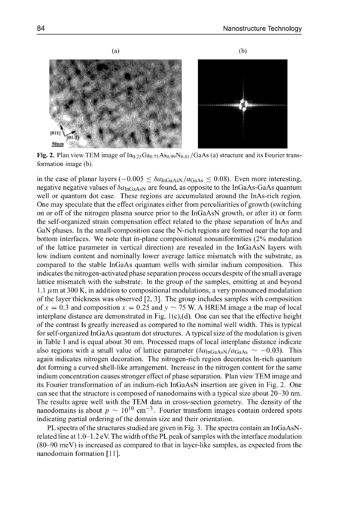

Fig. 2. Plan view TEM image of  $In_{0.25}Ga_{0.75}As_{0.99}N_{0.01}/GaAs$  (a) structure and its Fourier transformation image (b).

in the case of planar layers  $(-0.005 \leq \delta a_{\text{InGaAsN}}/a_{\text{GaAs}} \leq 0.08)$ . Even more interesting, negative negative values of  $\delta a_{\text{InGaAs}}$  are found, as opposite to the InGaAs-GaAs quantum well or quantum dot case. These regions are accumulated around the InAs-rich region. One may speculate that the effect originates either from perculiarities of growth (switching on or off of the nitrogen plasma source prior to the InGaAsN growth, or after it) or form the self-organized strain compensation effect related to the phase separation of InAs and GaN phases. In the small-composition case the N-rich regions are formed near the top and bottom interfaces. We note that in-plane compositional nonuniformities (2% modulation of the lattice parameter in vertical direction) are revealed in the InGaAsN layers with low indium content and nominally lower average lattice mismatch with the substrate, as compared to the stable InGaAs quantum wells with similar indium composition. This indicates the nitrogen-activated phase separation process occurs despite of the small average lattice mismatch with the substrate. In the group of the samples, emitting at and beyond 1.1  $\mu$ m at 300 K, in addition to compositional modulations, a very pronounced modulation of the layer thickness was observed [2, **3].** The group includes samples with composition of  $x = 0.3$  and composition  $x = 0.25$  and  $y \sim 75$  W. A HREM image a the map of local interplane distance are demonstrated in Fig.  $1(c)$ , (d). One can see that the effective height of the contrast Is greatly increased as compared to the nominal well width. This is typical for self-organized InGaAs quantum dot structures. A typical size of the modulation is given in Table 1 and is equal about 30 nm. Processed maps of local interplane distance indicate also regions with a small value of lattice parameter  $(\delta a_{\text{InGaAsN}}/a_{\text{GaAs}} \sim -0.03)$ . This again indicates nitrogen decoration. The nitrogen-rich region decorates In-rich quantum dot forming a curved shell-like arrangement. Increase in the nitrogen content for the same indium concentration causes stronger effect of phase separation. Plan view TEM image and its Fourier transformation of an indium-rich InGaAsN insertion are given in Fig. 2. One can see that the structure is composed of nanodomains with a typical size about 20-30 nm. The results agree well with the TEM data in cross-section geometry. The density of the nanodomains is about  $p \sim 10^{10}$  cm<sup>-3</sup>. Fourier transform images contain ordered spots indicating partial ordering of the domain size and their orientation.

PL spectra of the structures studied are given in Fig. 3. The spectra contain an InGaAsNrelated line at 1.0-1.2 eV. The width ofthe PL peak of samples with the interface modulation (80-90 meV) is increased as compared to that in layer-like samples, as expected from the nanodomain formation [ **11].**